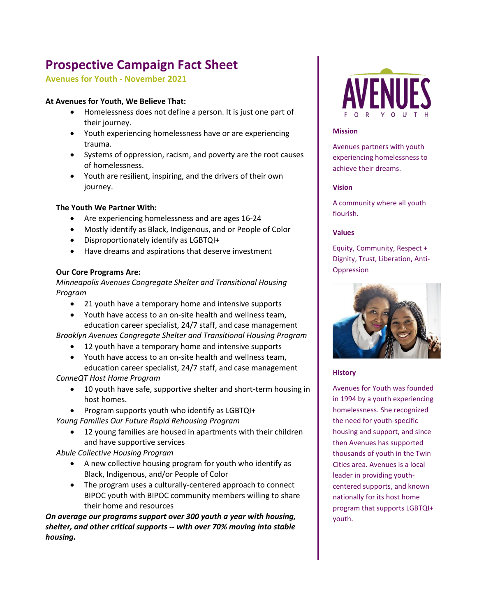# **Prospective Campaign Fact Sheet**

### **Avenues for Youth - November 2021**

#### **At Avenues for Youth, We Believe That:**

- Homelessness does not define a person. It is just one part of their journey.
- Youth experiencing homelessness have or are experiencing trauma.
- Systems of oppression, racism, and poverty are the root causes of homelessness.
- Youth are resilient, inspiring, and the drivers of their own journey.

### **The Youth We Partner With:**

- Are experiencing homelessness and are ages 16-24
- Mostly identify as Black, Indigenous, and or People of Color
- Disproportionately identify as LGBTQI+
- Have dreams and aspirations that deserve investment

### **Our Core Programs Are:**

*Minneapolis Avenues Congregate Shelter and Transitional Housing Program*

- 21 youth have a temporary home and intensive supports
- Youth have access to an on-site health and wellness team, education career specialist, 24/7 staff, and case management

*Brooklyn Avenues Congregate Shelter and Transitional Housing Program*

- 12 youth have a temporary home and intensive supports
- Youth have access to an on-site health and wellness team, education career specialist, 24/7 staff, and case management

*ConneQT Host Home Program* 

- 10 youth have safe, supportive shelter and short-term housing in host homes.
- Program supports youth who identify as LGBTQI+

*Young Families Our Future Rapid Rehousing Program* 

12 young families are housed in apartments with their children and have supportive services

*Abule Collective Housing Program* 

- A new collective housing program for youth who identify as Black, Indigenous, and/or People of Color
- The program uses a culturally-centered approach to connect BIPOC youth with BIPOC community members willing to share their home and resources

*On average our programs support over 300 youth a year with housing, shelter, and other critical supports -- with over 70% moving into stable housing.*



#### **Mission**

Avenues partners with youth experiencing homelessness to achieve their dreams.

#### **Vision**

A community where all youth flourish.

#### **Values**

Equity, Community, Respect + Dignity, Trust, Liberation, Anti-Oppression



#### **History**

Avenues for Youth was founded in 1994 by a youth experiencing homelessness. She recognized the need for youth-specific housing and support, and since then Avenues has supported thousands of youth in the Twin Cities area. Avenues is a local leader in providing youthcentered supports, and known nationally for its host home program that supports LGBTQI+ youth.